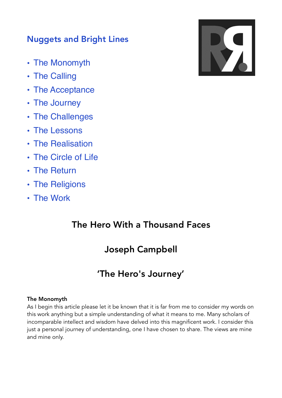# Nuggets and Bright Lines

- The Monomyth
- The Calling
- The Acceptance
- The Journey
- The Challenges
- The Lessons
- The Realisation
- The Circle of Life
- The Return
- The Religions
- The Work

# The Hero With a Thousand Faces

# Joseph Campbell

# 'The Hero's Journey'

# The Monomyth

As I begin this article please let it be known that it is far from me to consider my words on this work anything but a simple understanding of what it means to me. Many scholars of incomparable intellect and wisdom have delved into this magnificent work. I consider this just a personal journey of understanding, one I have chosen to share. The views are mine and mine only.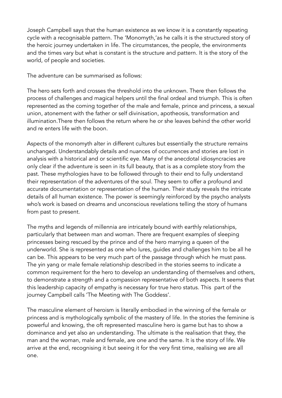Joseph Campbell says that the human existence as we know it is a constantly repeating cycle with a recognisable pattern. The 'Monomyth,'as he calls it is the structured story of the heroic journey undertaken in life. The circumstances, the people, the environments and the times vary but what is constant is the structure and pattern. It is the story of the world, of people and societies.

The adventure can be summarised as follows:

The hero sets forth and crosses the threshold into the unknown. There then follows the process of challenges and magical helpers until the final ordeal and triumph. This is often represented as the coming together of the male and female, prince and princess, a sexual union, atonement with the father or self divinisation, apotheosis, transformation and illumination.There then follows the return where he or she leaves behind the other world and re enters life with the boon.

Aspects of the monomyth alter in different cultures but essentially the structure remains unchanged. Understandably details and nuances of occurrences and stories are lost in analysis with a historical and or scientific eye. Many of the anecdotal idiosyncracies are only clear if the adventure is seen in its full beauty, that is as a complete story from the past. These mythologies have to be followed through to their end to fully understand their representation of the adventures of the soul. They seem to offer a profound and accurate documentation or representation of the human. Their study reveals the intricate details of all human existence. The power is seemingly reinforced by the psycho analysts who's work is based on dreams and unconscious revelations telling the story of humans from past to present.

The myths and legends of millennia are intricately bound with earthly relationships, particularly that between man and woman. There are frequent examples of sleeping princesses being rescued by the prince and of the hero marrying a queen of the underworld. She is represented as one who lures, guides and challenges him to be all he can be. This appears to be very much part of the passage through which he must pass. The yin yang or male female relationship described in the stories seems to indicate a common requirement for the hero to develop an understanding of themselves and others, to demonstrate a strength and a compassion representative of both aspects. It seems that this leadership capacity of empathy is necessary for true hero status. This part of the journey Campbell calls 'The Meeting with The Goddess'.

The masculine element of heroism is literally embodied in the winning of the female or princess and is mythologically symbolic of the mastery of life. In the stories the feminine is powerful and knowing, the oft represented masculine hero is game but has to show a dominance and yet also an understanding. The ultimate is the realisation that they, the man and the woman, male and female, are one and the same. It is the story of life. We arrive at the end, recognising it but seeing it for the very first time, realising we are all one.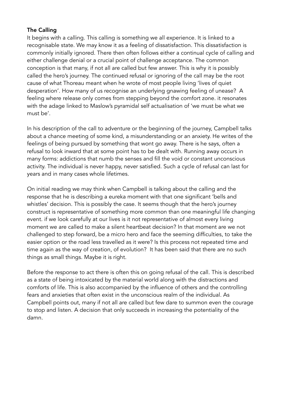## The Calling

It begins with a calling. This calling is something we all experience. It is linked to a recognisable state. We may know it as a feeling of dissatisfaction. This dissatisfaction is commonly initially ignored. There then often follows either a continual cycle of calling and either challenge denial or a crucial point of challenge acceptance. The common conception is that many, if not all are called but few answer. This is why it is possibly called the hero's journey. The continued refusal or ignoring of the call may be the root cause of what Thoreau meant when he wrote of most people living 'lives of quiet desperation'. How many of us recognise an underlying gnawing feeling of unease? A feeling where release only comes from stepping beyond the comfort zone. it resonates with the adage linked to Maslow's pyramidal self actualisation of 'we must be what we must be'.

In his description of the call to adventure or the beginning of the journey, Campbell talks about a chance meeting of some kind, a misunderstanding or an anxiety. He writes of the feelings of being pursued by something that wont go away. There is he says, often a refusal to look inward that at some point has to be dealt with. Running away occurs in many forms: addictions that numb the senses and fill the void or constant unconscious activity. The individual is never happy, never satisfied. Such a cycle of refusal can last for years and in many cases whole lifetimes.

On initial reading we may think when Campbell is talking about the calling and the response that he is describing a eureka moment with that one significant 'bells and whistles' decision. This is possibly the case. It seems though that the hero's journey construct is representative of something more common than one meaningful life changing event. if we look carefully at our lives is it not representative of almost every living moment we are called to make a silent heartbeat decision? In that moment are we not challenged to step forward, be a micro hero and face the seeming difficulties, to take the easier option or the road less travelled as it were? Is this process not repeated time and time again as the way of creation, of evolution? It has been said that there are no such things as small things. Maybe it is right.

Before the response to act there is often this on going refusal of the call. This is described as a state of being intoxicated by the material world along with the distractions and comforts of life. This is also accompanied by the influence of others and the controlling fears and anxieties that often exist in the unconscious realm of the individual. As Campbell points out, many if not all are called but few dare to summon even the courage to stop and listen. A decision that only succeeds in increasing the potentiality of the damn.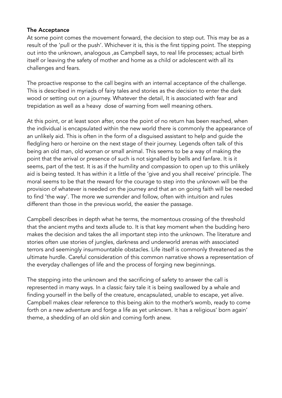#### The Acceptance

At some point comes the movement forward, the decision to step out. This may be as a result of the 'pull or the push'. Whichever it is, this is the first tipping point. The stepping out into the unknown, analogous ,as Campbell says, to real life processes; actual birth itself or leaving the safety of mother and home as a child or adolescent with all its challenges and fears.

The proactive response to the call begins with an internal acceptance of the challenge. This is described in myriads of fairy tales and stories as the decision to enter the dark wood or setting out on a journey. Whatever the detail, It is associated with fear and trepidation as well as a heavy dose of warning from well meaning others.

At this point, or at least soon after, once the point of no return has been reached, when the individual is encapsulated within the new world there is commonly the appearance of an unlikely aid. This is often in the form of a disguised assistant to help and guide the fledgling hero or heroine on the next stage of their journey. Legends often talk of this being an old man, old woman or small animal. This seems to be a way of making the point that the arrival or presence of such is not signalled by bells and fanfare. It is it seems, part of the test. It is as if the humility and compassion to open up to this unlikely aid is being tested. It has within it a little of the 'give and you shall receive' principle. The moral seems to be that the reward for the courage to step into the unknown will be the provision of whatever is needed on the journey and that an on going faith will be needed to find 'the way'. The more we surrender and follow, often with intuition and rules different than those in the previous world, the easier the passage.

Campbell describes in depth what he terms, the momentous crossing of the threshold that the ancient myths and texts allude to. It is that key moment when the budding hero makes the decision and takes the all important step into the unknown. The literature and stories often use stories of jungles, darkness and underworld arenas with associated terrors and seemingly insurmountable obstacles. Life itself is commonly threatened as the ultimate hurdle. Careful consideration of this common narrative shows a representation of the everyday challenges of life and the process of forging new beginnings.

The stepping into the unknown and the sacrificing of safety to answer the call is represented in many ways. In a classic fairy tale it is being swallowed by a whale and finding yourself in the belly of the creature, encapsulated, unable to escape, yet alive. Campbell makes clear reference to this being akin to the mother's womb, ready to come forth on a new adventure and forge a life as yet unknown. It has a religious' born again' theme, a shedding of an old skin and coming forth anew.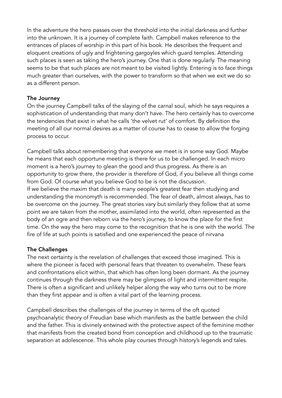In the adventure the hero passes over the threshold into the initial darkness and further into the unknown. It is a journey of complete faith. Campbell makes reference to the entrances of places of worship in this part of his book. He describes the frequent and eloquent creations of ugly and frightening gargoyles which guard temples. Attending such places is seen as taking the hero's journey. One that is done regularly. The meaning seems to be that such places are not meant to be visited lightly. Entering is to face things much greater than ourselves, with the power to transform so that when we exit we do so as a different person.

## The Journey

On the journey Campbell talks of the slaying of the carnal soul, which he says requires a sophistication of understanding that many don't have. The hero certainly has to overcome the tendencies that exist in what he calls 'the velvet rut' of comfort. By definition the meeting of all our normal desires as a matter of course has to cease to allow the forging process to occur.

Campbell talks about remembering that everyone we meet is in some way God. Maybe he means that each opportune meeting is there for us to be challenged. In each micro moment is a hero's journey to glean the good and thus progress. As there is an opportunity to grow there, the provider is therefore of God, if you believe all things come from God. Of course what you believe God to be is not the discussion. If we believe the maxim that death is many oeople's greatest fear then studying and understanding the monomyth is recommended. The fear of death, almost always, has to be overcome on the journey. The great stories vary but similarly they follow that at some point we are taken from the mother, assimilated into the world, often represented as the body of an ogre and then reborn via the hero's journey, to know the place for the first time. On the way the hero may come to the recognition that he is one with the world. The fire of life at such points is satisfied and one experienced the peace of nirvana

# The Challenges

The next certainty is the revelation of challenges that exceed those imagined. This is where the pioneer is faced with personal fears that threaten to overwhelm. These fears and confrontations elicit within, that which has often long been dormant. As the journey continues through the darkness there may be glimpses of light and intermittent respite. There is often a significant and unlikely helper along the way who turns out to be more than they first appear and is often a vital part of the learning process.

Campbell describes the challenges of the journey in terms of the oft quoted psychoanalytic theory of Freudian base which manifests as the battle between the child and the father. This is divinely entwined with the protective aspect of the feminine mother that manifests from the created bond from conception and childhood up to the traumatic separation at adolescence. This whole play courses through history's legends and tales.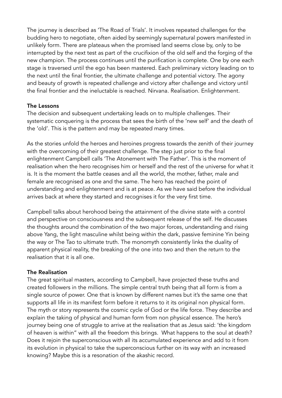The journey is described as 'The Road of Trials'. It involves repeated challenges for the budding hero to negotiate, often aided by seemingly supernatural powers manifested in unlikely form. There are plateaus when the promised land seems close by, only to be interrupted by the next test as part of the crucifixion of the old self and the forging of the new champion. The process continues until the purification is complete. One by one each stage is traversed until the ego has been mastered. Each preliminary victory leading on to the next until the final frontier, the ultimate challenge and potential victory. The agony and beauty of growth is repeated challenge and victory after challenge and victory until the final frontier and the ineluctable is reached. Nirvana. Realisation. Enlightenment.

## The Lessons

The decision and subsequent undertaking leads on to multiple challenges. Their systematic conquering is the process that sees the birth of the 'new self' and the death of the 'old'. This is the pattern and may be repeated many times.

As the stories unfold the heroes and heroines progress towards the zenith of their journey with the overcoming of their greatest challenge. The step just prior to the final enlightenment Campbell calls 'The Atonement with The Father'. This is the moment of realisation when the hero recognises him or herself and the rest of the universe for what it is. It is the moment the battle ceases and all the world, the mother, father, male and female are recognised as one and the same. The hero has reached the point of understanding and enlightenment and is at peace. As we have said before the individual arrives back at where they started and recognises it for the very first time.

Campbell talks about herohood being the attainment of the divine state with a control and perspective on consciousness and the subsequent release of the self. He discusses the thoughts around the combination of the two major forces, understanding and rising above Yang, the light masculine whilst being within the dark, passive feminine Yin being the way or The Tao to ultimate truth. The monomyth consistently links the duality of apparent physical reality, the breaking of the one into two and then the return to the realisation that it is all one.

# The Realisation

The great spiritual masters, according to Campbell, have projected these truths and created followers in the millions. The simple central truth being that all form is from a single source of power. One that is known by different names but it's the same one that supports all life in its manifest form before it returns to it its original non physical form. The myth or story represents the cosmic cycle of God or the life force. They describe and explain the taking of physical and human form from non physical essence. The hero's journey being one of struggle to arrive at the realisation that as Jesus said: 'the kingdom of heaven is within" with all the freedom this brings. What happens to the soul at death? Does it rejoin the superconscious with all its accumulated experience and add to it from its evolution in physical to take the superconscious further on its way with an increased knowing? Maybe this is a resonation of the akashic record.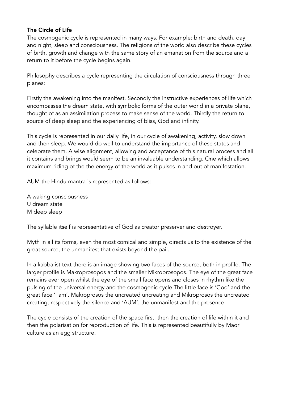## The Circle of Life

The cosmogenic cycle is represented in many ways. For example: birth and death, day and night, sleep and consciousness. The religions of the world also describe these cycles of birth, growth and change with the same story of an emanation from the source and a return to it before the cycle begins again.

Philosophy describes a cycle representing the circulation of consciousness through three planes:

Firstly the awakening into the manifest. Secondly the instructive experiences of life which encompasses the dream state, with symbolic forms of the outer world in a private plane, thought of as an assimilation process to make sense of the world. Thirdly the return to source of deep sleep and the experiencing of bliss, God and infinity.

This cycle is represented in our daily life, in our cycle of awakening, activity, slow down and then sleep. We would do well to understand the importance of these states and celebrate them. A wise alignment, allowing and acceptance of this natural process and all it contains and brings would seem to be an invaluable understanding. One which allows maximum riding of the the energy of the world as it pulses in and out of manifestation.

AUM the Hindu mantra is represented as follows:

A waking consciousness U dream state M deep sleep

The syllable itself is representative of God as creator preserver and destroyer.

Myth in all its forms, even the most comical and simple, directs us to the existence of the great source, the unmanifest that exists beyond the pail.

In a kabbalist text there is an image showing two faces of the source, both in profile. The larger profile is Makroprosopos and the smaller Mikroprosopos. The eye of the great face remains ever open whilst the eye of the small face opens and closes in rhythm like the pulsing of the universal energy and the cosmogenic cycle.The little face is 'God' and the great face 'I am'. Makroprosos the uncreated uncreating and Mikroprosos the uncreated creating, respectively the silence and 'AUM'. the unmanifest and the presence.

The cycle consists of the creation of the space first, then the creation of life within it and then the polarisation for reproduction of life. This is represented beautifully by Maori culture as an egg structure.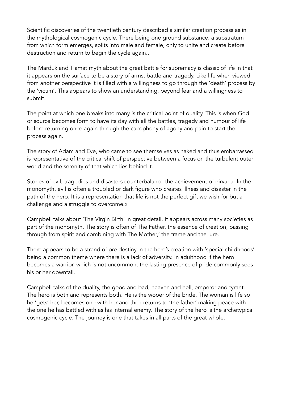Scientific discoveries of the twentieth century described a similar creation process as in the mythological cosmogenic cycle. There being one ground substance, a substratum from which form emerges, splits into male and female, only to unite and create before destruction and return to begin the cycle again..

The Marduk and Tiamat myth about the great battle for supremacy is classic of life in that it appears on the surface to be a story of arms, battle and tragedy. Like life when viewed from another perspective it is filled with a willingness to go through the 'death' process by the 'victim'. This appears to show an understanding, beyond fear and a willingness to submit.

The point at which one breaks into many is the critical point of duality. This is when God or source becomes form to have its day with all the battles, tragedy and humour of life before returning once again through the cacophony of agony and pain to start the process again.

The story of Adam and Eve, who came to see themselves as naked and thus embarrassed is representative of the critical shift of perspective between a focus on the turbulent outer world and the serenity of that which lies behind it.

Stories of evil, tragedies and disasters counterbalance the achievement of nirvana. In the monomyth, evil is often a troubled or dark figure who creates illness and disaster in the path of the hero. It is a representation that life is not the perfect gift we wish for but a challenge and a struggle to overcome.x

Campbell talks about 'The Virgin Birth' in great detail. It appears across many societies as part of the monomyth. The story is often of The Father, the essence of creation, passing through from spirit and combining with The Mother,' the frame and the lure.

There appears to be a strand of pre destiny in the hero's creation with 'special childhoods' being a common theme where there is a lack of adversity. In adulthood if the hero becomes a warrior, which is not uncommon, the lasting presence of pride commonly sees his or her downfall.

Campbell talks of the duality, the good and bad, heaven and hell, emperor and tyrant. The hero is both and represents both. He is the wooer of the bride. The woman is life so he 'gets' her, becomes one with her and then returns to 'the father' making peace with the one he has battled with as his internal enemy. The story of the hero is the archetypical cosmogenic cycle. The journey is one that takes in all parts of the great whole.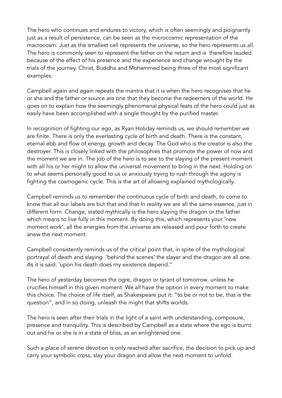The hero who continues and endures to victory, which is often seemingly and poignantly just as a result of persistence, can be seen as the microcosmic representation of the macrocosm. Just as the smallest cell represents the universe, so the hero represents us all. The hero is commonly seen to represent the father on the return and is therefore lauded because of the effect of his presence and the experience and change wrought by the trials of the journey. Christ, Buddha and Mohammed being three of the most significant examples.

Campbell again and again repeats the mantra that it is when the hero recognises that he or she and the father or source are one that they become the redeemers of the world. He goes on to explain how the seemingly phenomenal physical feats of the hero could just as easily have been accomplished with a single thought by the purified master.

In recognition of fighting our ego, as Ryan Holiday reminds us, we should remember we are finite. There is only the everlasting cycle of birth and death. There is the constant, eternal ebb and flow of energy, growth and decay. The God who is the creator is also the destroyer. This is closely linked with the philosophies that promote the power of now and the moment we are in. The job of the hero is to see to the slaying of the present moment with all his or her might to allow the universal movement to bring in the next. Holding on to what seems personally good to us or anxiously trying to rush through the agony is fighting the cosmogenic cycle. This is the art of allowing explained mythologically.

Campbell reminds us to remember the continuous cycle of birth and death, to come to know that all our labels are but that and that In reality we are all the same essence, just in different form. Change, stated mythically is the hero slaying the dragon or the father which means to live fully in this moment. By doing this, which represents your 'now moment work', all the energies from the universe are released and pour forth to create anew the next moment.

Campbell consistently reminds us of the critical point that, in spite of the mythological portrayal of death and slaying 'behind the scenes' the slayer and the dragon are all one. As it is said: 'upon his death does my existence depend."

The hero of yesterday becomes the ogre, dragon or tyrant of tomorrow unless he crucifies himself in this given moment. We all have the option in every moment to make this choice. The choice of life itself, as Shakespeare put it: "to be or not to be, that is the question", and in so doing, unleash the might that shifts worlds.

The hero is seen after their trials in the light of a saint with understanding, composure, presence and tranquility. This is described by Campbell as a state where the ego is burnt out and he or she is in a state of bliss, as an enlightened one.

Such a place of serene devotion is only reached after sacrifice, the decision to pick up and carry your symbolic cross, slay your dragon and allow the next moment to unfold.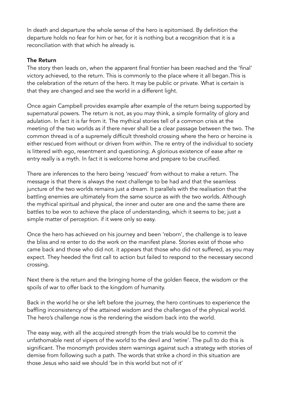In death and departure the whole sense of the hero is epitomised. By definition the departure holds no fear for him or her, for it is nothing but a recognition that it is a reconciliation with that which he already is.

#### The Return

The story then leads on, when the apparent final frontier has been reached and the 'final' victory achieved, to the return. This is commonly to the place where it all began.This is the celebration of the return of the hero. It may be public or private. What is certain is that they are changed and see the world in a different light.

Once again Campbell provides example after example of the return being supported by supernatural powers. The return is not, as you may think, a simple formality of glory and adulation. In fact it is far from it. The mythical stories tell of a common crisis at the meeting of the two worlds as if there never shall be a clear passage between the two. The common thread is of a supremely difficult threshold crossing where the hero or heroine is either rescued from without or driven from within. The re entry of the individual to society is littered with ego, resentment and questioning. A glorious existence of ease after re entry really is a myth. In fact it is welcome home and prepare to be crucified.

There are inferences to the hero being 'rescued' from without to make a return. The message is that there is always the next challenge to be had and that the seamless juncture of the two worlds remains just a dream. It parallels with the realisation that the battling enemies are ultimately from the same source as with the two worlds. Although the mythical spiritual and physical, the inner and outer are one and the same there are battles to be won to achieve the place of understanding, which it seems to be; just a simple matter of perception. if it were only so easy.

Once the hero has achieved on his journey and been 'reborn', the challenge is to leave the bliss and re enter to do the work on the manifest plane. Stories exist of those who came back and those who did not. it appears that those who did not suffered, as you may expect. They heeded the first call to action but failed to respond to the necessary second crossing.

Next there is the return and the bringing home of the golden fleece, the wisdom or the spoils of war to offer back to the kingdom of humanity.

Back in the world he or she left before the journey, the hero continues to experience the baffling inconsistency of the attained wisdom and the challenges of the physical world. The hero's challenge now is the rendering the wisdom back into the world.

The easy way, with all the acquired strength from the trials would be to commit the unfathomable nest of vipers of the world to the devil and 'retire'. The pull to do this is significant. The monomyth provides stern warnings against such a strategy with stories of demise from following such a path. The words that strike a chord in this situation are those Jesus who said we should 'be in this world but not of it'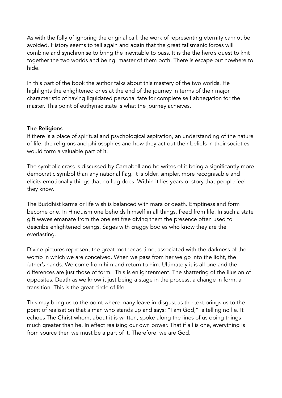As with the folly of ignoring the original call, the work of representing eternity cannot be avoided. History seems to tell again and again that the great talismanic forces will combine and synchronise to bring the inevitable to pass. It is the the hero's quest to knit together the two worlds and being master of them both. There is escape but nowhere to hide.

In this part of the book the author talks about this mastery of the two worlds. He highlights the enlightened ones at the end of the journey in terms of their major characteristic of having liquidated personal fate for complete self abnegation for the master. This point of euthymic state is what the journey achieves.

#### The Religions

If there is a place of spiritual and psychological aspiration, an understanding of the nature of life, the religions and philosophies and how they act out their beliefs in their societies would form a valuable part of it.

The symbolic cross is discussed by Campbell and he writes of it being a significantly more democratic symbol than any national flag. It is older, simpler, more recognisable and elicits emotionally things that no flag does. Within it lies years of story that people feel they know.

The Buddhist karma or life wish is balanced with mara or death. Emptiness and form become one. In Hinduism one beholds himself in all things, freed from life. In such a state gift waves emanate from the one set free giving them the presence often used to describe enlightened beings. Sages with craggy bodies who know they are the everlasting.

Divine pictures represent the great mother as time, associated with the darkness of the womb in which we are conceived. When we pass from her we go into the light, the father's hands. We come from him and return to him. Ultimately it is all one and the differences are just those of form. This is enlightenment. The shattering of the illusion of opposites. Death as we know it just being a stage in the process, a change in form, a transition. This is the great circle of life.

This may bring us to the point where many leave in disgust as the text brings us to the point of realisation that a man who stands up and says: "I am God," is telling no lie. It echoes The Christ whom, about it is written, spoke along the lines of us doing things much greater than he. In effect realising our own power. That if all is one, everything is from source then we must be a part of it. Therefore, we are God.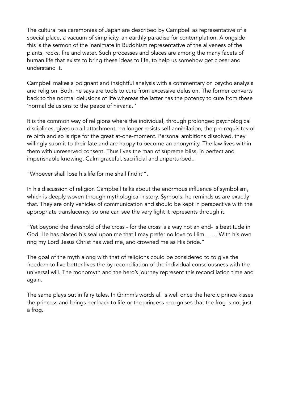The cultural tea ceremonies of Japan are described by Campbell as representative of a special place, a vacuum of simplicity, an earthly paradise for contemplation. Alongside this is the sermon of the inanimate in Buddhism representative of the aliveness of the plants, rocks, fire and water. Such processes and places are among the many facets of human life that exists to bring these ideas to life, to help us somehow get closer and understand it.

Campbell makes a poignant and insightful analysis with a commentary on psycho analysis and religion. Both, he says are tools to cure from excessive delusion. The former converts back to the normal delusions of life whereas the latter has the potency to cure from these 'normal delusions to the peace of nirvana. '

It is the common way of religions where the individual, through prolonged psychological disciplines, gives up all attachment, no longer resists self annihilation, the pre requisites of re birth and so is ripe for the great at-one-moment. Personal ambitions dissolved, they willingly submit to their fate and are happy to become an anonymity. The law lives within them with unreserved consent. Thus lives the man of supreme bliss, in perfect and imperishable knowing. Calm graceful, sacrificial and unperturbed..

"Whoever shall lose his life for me shall find it'".

In his discussion of religion Campbell talks about the enormous influence of symbolism, which is deeply woven through mythological history. Symbols, he reminds us are exactly that. They are only vehicles of communication and should be kept in perspective with the appropriate translucency, so one can see the very light it represents through it.

"Yet beyond the threshold of the cross - for the cross is a way not an end- is beatitude in God. He has placed his seal upon me that I may prefer no love to Him……..With his own ring my Lord Jesus Christ has wed me, and crowned me as His bride."

The goal of the myth along with that of religions could be considered to to give the freedom to live better lives the by reconciliation of the individual consciousness with the universal will. The monomyth and the hero's journey represent this reconciliation time and again.

The same plays out in fairy tales. In Grimm's words all is well once the heroic prince kisses the princess and brings her back to life or the princess recognises that the frog is not just a frog.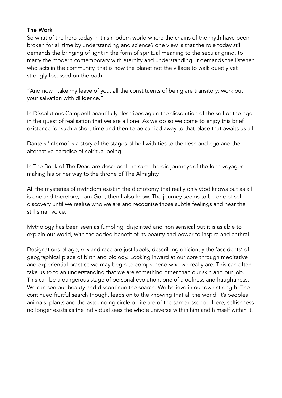#### The Work

So what of the hero today in this modern world where the chains of the myth have been broken for all time by understanding and science? one view is that the role today still demands the bringing of light in the form of spiritual meaning to the secular grind, to marry the modern contemporary with eternity and understanding. It demands the listener who acts in the community, that is now the planet not the village to walk quietly yet strongly focussed on the path.

"And now I take my leave of you, all the constituents of being are transitory; work out your salvation with diligence."

In Dissolutions Campbell beautifully describes again the dissolution of the self or the ego in the quest of realisation that we are all one. As we do so we come to enjoy this brief existence for such a short time and then to be carried away to that place that awaits us all.

Dante's 'Inferno' is a story of the stages of hell with ties to the flesh and ego and the alternative paradise of spiritual being.

In The Book of The Dead are described the same heroic journeys of the lone voyager making his or her way to the throne of The Almighty.

All the mysteries of mythdom exist in the dichotomy that really only God knows but as all is one and therefore, I am God, then I also know. The journey seems to be one of self discovery until we realise who we are and recognise those subtle feelings and hear the still small voice.

Mythology has been seen as fumbling, disjointed and non sensical but it is as able to explain our world, with the added benefit of its beauty and power to inspire and enthral.

Designations of age, sex and race are just labels, describing efficiently the 'accidents' of geographical place of birth and biology. Looking inward at our core through meditative and experiential practice we may begin to comprehend who we really are. This can often take us to to an understanding that we are something other than our skin and our job. This can be a dangerous stage of personal evolution, one of aloofness and haughtiness. We can see our beauty and discontinue the search. We believe in our own strength. The continued fruitful search though, leads on to the knowing that all the world, it's peoples, animals, plants and the astounding circle of life are of the same essence. Here, selfishness no longer exists as the individual sees the whole universe within him and himself within it.